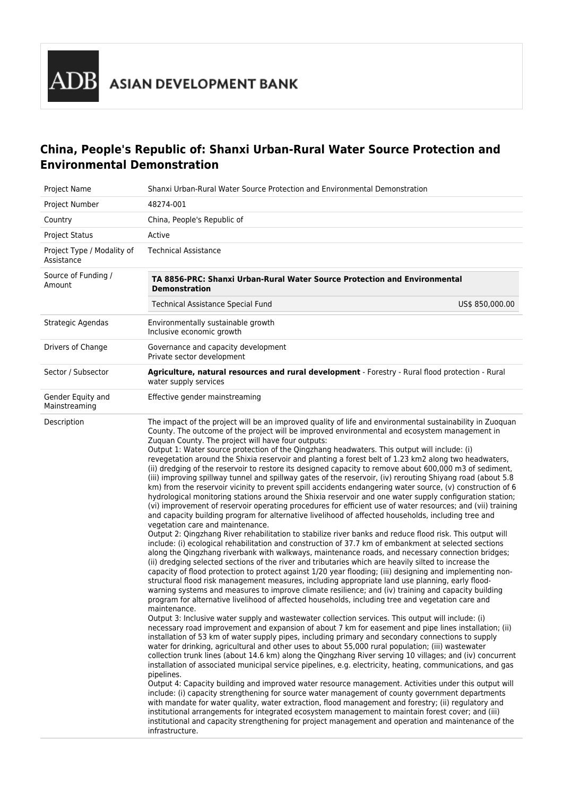# **China, People's Republic of: Shanxi Urban-Rural Water Source Protection and Environmental Demonstration**

| <b>Project Name</b>                      | Shanxi Urban-Rural Water Source Protection and Environmental Demonstration                                                                                                                                                                                                                                                                                                                                                                                                                                                                                                                                                                                                                                                                                                                                                                                                                                                                                                                                                                                                                                                                                                                                                                                                                                                                                                                                                                                                                                                                                                                                                                                                                                                                                                                                                                                                                                                                                                                                                                                                                                                                                                                                                                                                                                                                                                                                                                                                                                                                                                                                                                                                                                                                                                                                                                                                                                                                                                                                                                                                                                                                                                                                                                                                                         |
|------------------------------------------|----------------------------------------------------------------------------------------------------------------------------------------------------------------------------------------------------------------------------------------------------------------------------------------------------------------------------------------------------------------------------------------------------------------------------------------------------------------------------------------------------------------------------------------------------------------------------------------------------------------------------------------------------------------------------------------------------------------------------------------------------------------------------------------------------------------------------------------------------------------------------------------------------------------------------------------------------------------------------------------------------------------------------------------------------------------------------------------------------------------------------------------------------------------------------------------------------------------------------------------------------------------------------------------------------------------------------------------------------------------------------------------------------------------------------------------------------------------------------------------------------------------------------------------------------------------------------------------------------------------------------------------------------------------------------------------------------------------------------------------------------------------------------------------------------------------------------------------------------------------------------------------------------------------------------------------------------------------------------------------------------------------------------------------------------------------------------------------------------------------------------------------------------------------------------------------------------------------------------------------------------------------------------------------------------------------------------------------------------------------------------------------------------------------------------------------------------------------------------------------------------------------------------------------------------------------------------------------------------------------------------------------------------------------------------------------------------------------------------------------------------------------------------------------------------------------------------------------------------------------------------------------------------------------------------------------------------------------------------------------------------------------------------------------------------------------------------------------------------------------------------------------------------------------------------------------------------------------------------------------------------------------------------------------------------|
| Project Number                           | 48274-001                                                                                                                                                                                                                                                                                                                                                                                                                                                                                                                                                                                                                                                                                                                                                                                                                                                                                                                                                                                                                                                                                                                                                                                                                                                                                                                                                                                                                                                                                                                                                                                                                                                                                                                                                                                                                                                                                                                                                                                                                                                                                                                                                                                                                                                                                                                                                                                                                                                                                                                                                                                                                                                                                                                                                                                                                                                                                                                                                                                                                                                                                                                                                                                                                                                                                          |
| Country                                  | China, People's Republic of                                                                                                                                                                                                                                                                                                                                                                                                                                                                                                                                                                                                                                                                                                                                                                                                                                                                                                                                                                                                                                                                                                                                                                                                                                                                                                                                                                                                                                                                                                                                                                                                                                                                                                                                                                                                                                                                                                                                                                                                                                                                                                                                                                                                                                                                                                                                                                                                                                                                                                                                                                                                                                                                                                                                                                                                                                                                                                                                                                                                                                                                                                                                                                                                                                                                        |
| <b>Project Status</b>                    | Active                                                                                                                                                                                                                                                                                                                                                                                                                                                                                                                                                                                                                                                                                                                                                                                                                                                                                                                                                                                                                                                                                                                                                                                                                                                                                                                                                                                                                                                                                                                                                                                                                                                                                                                                                                                                                                                                                                                                                                                                                                                                                                                                                                                                                                                                                                                                                                                                                                                                                                                                                                                                                                                                                                                                                                                                                                                                                                                                                                                                                                                                                                                                                                                                                                                                                             |
| Project Type / Modality of<br>Assistance | <b>Technical Assistance</b>                                                                                                                                                                                                                                                                                                                                                                                                                                                                                                                                                                                                                                                                                                                                                                                                                                                                                                                                                                                                                                                                                                                                                                                                                                                                                                                                                                                                                                                                                                                                                                                                                                                                                                                                                                                                                                                                                                                                                                                                                                                                                                                                                                                                                                                                                                                                                                                                                                                                                                                                                                                                                                                                                                                                                                                                                                                                                                                                                                                                                                                                                                                                                                                                                                                                        |
| Source of Funding /<br>Amount            | TA 8856-PRC: Shanxi Urban-Rural Water Source Protection and Environmental<br><b>Demonstration</b>                                                                                                                                                                                                                                                                                                                                                                                                                                                                                                                                                                                                                                                                                                                                                                                                                                                                                                                                                                                                                                                                                                                                                                                                                                                                                                                                                                                                                                                                                                                                                                                                                                                                                                                                                                                                                                                                                                                                                                                                                                                                                                                                                                                                                                                                                                                                                                                                                                                                                                                                                                                                                                                                                                                                                                                                                                                                                                                                                                                                                                                                                                                                                                                                  |
|                                          | Technical Assistance Special Fund<br>US\$ 850,000.00                                                                                                                                                                                                                                                                                                                                                                                                                                                                                                                                                                                                                                                                                                                                                                                                                                                                                                                                                                                                                                                                                                                                                                                                                                                                                                                                                                                                                                                                                                                                                                                                                                                                                                                                                                                                                                                                                                                                                                                                                                                                                                                                                                                                                                                                                                                                                                                                                                                                                                                                                                                                                                                                                                                                                                                                                                                                                                                                                                                                                                                                                                                                                                                                                                               |
| Strategic Agendas                        | Environmentally sustainable growth<br>Inclusive economic growth                                                                                                                                                                                                                                                                                                                                                                                                                                                                                                                                                                                                                                                                                                                                                                                                                                                                                                                                                                                                                                                                                                                                                                                                                                                                                                                                                                                                                                                                                                                                                                                                                                                                                                                                                                                                                                                                                                                                                                                                                                                                                                                                                                                                                                                                                                                                                                                                                                                                                                                                                                                                                                                                                                                                                                                                                                                                                                                                                                                                                                                                                                                                                                                                                                    |
| Drivers of Change                        | Governance and capacity development<br>Private sector development                                                                                                                                                                                                                                                                                                                                                                                                                                                                                                                                                                                                                                                                                                                                                                                                                                                                                                                                                                                                                                                                                                                                                                                                                                                                                                                                                                                                                                                                                                                                                                                                                                                                                                                                                                                                                                                                                                                                                                                                                                                                                                                                                                                                                                                                                                                                                                                                                                                                                                                                                                                                                                                                                                                                                                                                                                                                                                                                                                                                                                                                                                                                                                                                                                  |
| Sector / Subsector                       | Agriculture, natural resources and rural development - Forestry - Rural flood protection - Rural<br>water supply services                                                                                                                                                                                                                                                                                                                                                                                                                                                                                                                                                                                                                                                                                                                                                                                                                                                                                                                                                                                                                                                                                                                                                                                                                                                                                                                                                                                                                                                                                                                                                                                                                                                                                                                                                                                                                                                                                                                                                                                                                                                                                                                                                                                                                                                                                                                                                                                                                                                                                                                                                                                                                                                                                                                                                                                                                                                                                                                                                                                                                                                                                                                                                                          |
| Gender Equity and<br>Mainstreaming       | Effective gender mainstreaming                                                                                                                                                                                                                                                                                                                                                                                                                                                                                                                                                                                                                                                                                                                                                                                                                                                                                                                                                                                                                                                                                                                                                                                                                                                                                                                                                                                                                                                                                                                                                                                                                                                                                                                                                                                                                                                                                                                                                                                                                                                                                                                                                                                                                                                                                                                                                                                                                                                                                                                                                                                                                                                                                                                                                                                                                                                                                                                                                                                                                                                                                                                                                                                                                                                                     |
| Description                              | The impact of the project will be an improved quality of life and environmental sustainability in Zuoquan<br>County. The outcome of the project will be improved environmental and ecosystem management in<br>Zuquan County. The project will have four outputs:<br>Output 1: Water source protection of the Qingzhang headwaters. This output will include: (i)<br>revegetation around the Shixia reservoir and planting a forest belt of 1.23 km2 along two headwaters,<br>(ii) dredging of the reservoir to restore its designed capacity to remove about 600,000 m3 of sediment,<br>(iii) improving spillway tunnel and spillway gates of the reservoir, (iv) rerouting Shiyang road (about 5.8<br>km) from the reservoir vicinity to prevent spill accidents endangering water source, (v) construction of 6<br>hydrological monitoring stations around the Shixia reservoir and one water supply configuration station;<br>(vi) improvement of reservoir operating procedures for efficient use of water resources; and (vii) training<br>and capacity building program for alternative livelihood of affected households, including tree and<br>vegetation care and maintenance.<br>Output 2: Qingzhang River rehabilitation to stabilize river banks and reduce flood risk. This output will<br>include: (i) ecological rehabilitation and construction of 37.7 km of embankment at selected sections<br>along the Qingzhang riverbank with walkways, maintenance roads, and necessary connection bridges;<br>(ii) dredging selected sections of the river and tributaries which are heavily silted to increase the<br>capacity of flood protection to protect against 1/20 year flooding; (iii) designing and implementing non-<br>structural flood risk management measures, including appropriate land use planning, early flood-<br>warning systems and measures to improve climate resilience; and (iv) training and capacity building<br>program for alternative livelihood of affected households, including tree and vegetation care and<br>maintenance.<br>Output 3: Inclusive water supply and wastewater collection services. This output will include: (i)<br>necessary road improvement and expansion of about 7 km for easement and pipe lines installation; (ii)<br>installation of 53 km of water supply pipes, including primary and secondary connections to supply<br>water for drinking, agricultural and other uses to about 55,000 rural population; (iii) wastewater<br>collection trunk lines (about 14.6 km) along the Qingzhang River serving 10 villages; and (iv) concurrent<br>installation of associated municipal service pipelines, e.g. electricity, heating, communications, and gas<br>pipelines.<br>Output 4: Capacity building and improved water resource management. Activities under this output will<br>include: (i) capacity strengthening for source water management of county government departments<br>with mandate for water quality, water extraction, flood management and forestry; (ii) regulatory and<br>institutional arrangements for integrated ecosystem management to maintain forest cover; and (iii)<br>institutional and capacity strengthening for project management and operation and maintenance of the<br>infrastructure. |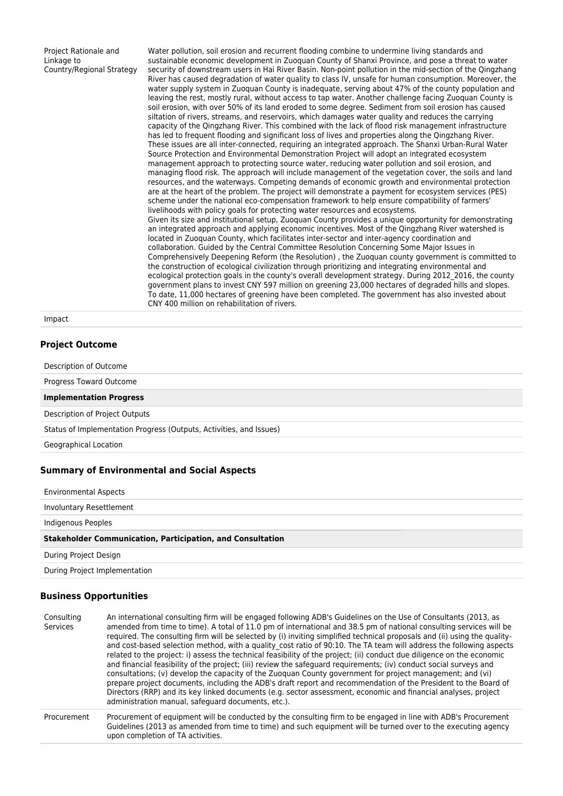Project Rationale and Linkage to Country/Regional Strategy Water pollution, soil erosion and recurrent flooding combine to undermine living standards and sustainable economic development in Zuoquan County of Shanxi Province, and pose a threat to water security of downstream users in Hai River Basin. Non-point pollution in the mid-section of the Qingzhang River has caused degradation of water quality to class IV, unsafe for human consumption. Moreover, the water supply system in Zuoquan County is inadequate, serving about 47% of the county population and leaving the rest, mostly rural, without access to tap water. Another challenge facing Zuoquan County is soil erosion, with over 50% of its land eroded to some degree. Sediment from soil erosion has caused siltation of rivers, streams, and reservoirs, which damages water quality and reduces the carrying capacity of the Qingzhang River. This combined with the lack of flood risk management infrastructure has led to frequent flooding and significant loss of lives and properties along the Qingzhang River. These issues are all inter-connected, requiring an integrated approach. The Shanxi Urban-Rural Water Source Protection and Environmental Demonstration Project will adopt an integrated ecosystem management approach to protecting source water, reducing water pollution and soil erosion, and managing flood risk. The approach will include management of the vegetation cover, the soils and land resources, and the waterways. Competing demands of economic growth and environmental protection are at the heart of the problem. The project will demonstrate a payment for ecosystem services (PES) scheme under the national eco-compensation framework to help ensure compatibility of farmers' livelihoods with policy goals for protecting water resources and ecosystems. Given its size and institutional setup, Zuoquan County provides a unique opportunity for demonstrating an integrated approach and applying economic incentives. Most of the Qingzhang River watershed is located in Zuoquan County, which facilitates inter-sector and inter-agency coordination and collaboration. Guided by the Central Committee Resolution Concerning Some Major Issues in Comprehensively Deepening Reform (the Resolution) , the Zuoquan county government is committed to the construction of ecological civilization through prioritizing and integrating environmental and ecological protection goals in the county's overall development strategy. During 2012\_2016, the county government plans to invest CNY 597 million on greening 23,000 hectares of degraded hills and slopes. To date, 11,000 hectares of greening have been completed. The government has also invested about CNY 400 million on rehabilitation of rivers.

Impact

### **Project Outcome**

| Description of Outcome                                                             |
|------------------------------------------------------------------------------------|
| Progress Toward Outcome                                                            |
| <b>Implementation Progress</b>                                                     |
| Description of Project Outputs                                                     |
| Status of Implementation Progress (Outputs, Activities, and Issues)                |
| Geographical Location                                                              |
| <b>Summary of Environmental and Social Aspects</b><br><b>Environmental Aspects</b> |

Involuntary Resettlement Indigenous Peoples **Stakeholder Communication, Participation, and Consultation** During Project Design During Project Implementation

#### **Business Opportunities**

| Consulting<br>Services | An international consulting firm will be engaged following ADB's Guidelines on the Use of Consultants (2013, as<br>amended from time to time). A total of 11.0 pm of international and 38.5 pm of national consulting services will be<br>required. The consulting firm will be selected by (i) inviting simplified technical proposals and (ii) using the quality-<br>and cost-based selection method, with a quality cost ratio of 90:10. The TA team will address the following aspects<br>related to the project: i) assess the technical feasibility of the project; (ii) conduct due diligence on the economic<br>and financial feasibility of the project; (iii) review the safeguard requirements; (iv) conduct social surveys and<br>consultations; (v) develop the capacity of the Zuoguan County government for project management; and (vi)<br>prepare project documents, including the ADB's draft report and recommendation of the President to the Board of<br>Directors (RRP) and its key linked documents (e.g. sector assessment, economic and financial analyses, project<br>administration manual, safeguard documents, etc.). |
|------------------------|----------------------------------------------------------------------------------------------------------------------------------------------------------------------------------------------------------------------------------------------------------------------------------------------------------------------------------------------------------------------------------------------------------------------------------------------------------------------------------------------------------------------------------------------------------------------------------------------------------------------------------------------------------------------------------------------------------------------------------------------------------------------------------------------------------------------------------------------------------------------------------------------------------------------------------------------------------------------------------------------------------------------------------------------------------------------------------------------------------------------------------------------------|
| Procurement            | Procurement of equipment will be conducted by the consulting firm to be engaged in line with ADB's Procurement<br>Guidelines (2013 as amended from time to time) and such equipment will be turned over to the executing agency<br>upon completion of TA activities.                                                                                                                                                                                                                                                                                                                                                                                                                                                                                                                                                                                                                                                                                                                                                                                                                                                                               |